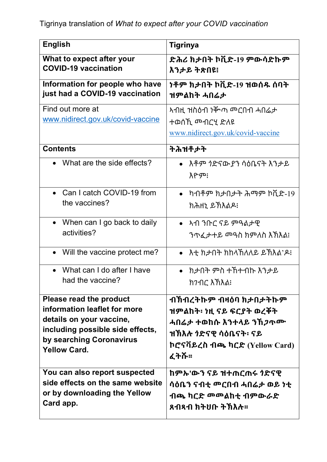| <b>English</b>                                              | <b>Tigrinya</b>                                    |
|-------------------------------------------------------------|----------------------------------------------------|
| What to expect after your                                   | ድሕሪ ክታበት ኮቪድ-19 ምውሳድኩም                             |
| <b>COVID-19 vaccination</b>                                 | እንታይ ትጽበዩ፧                                         |
| Information for people who have                             | <b>ነቶም ክታበት ኮቪድ-19 ዝወሰዱ ሰባት</b>                    |
| just had a COVID-19 vaccination                             | ዝምልከት ሓበሬታ                                         |
| Find out more at<br>www.nidirect.gov.uk/covid-vaccine       | ተወሰኺ ሙብርሂ ድለዩ<br>www.nidirect.gov.uk/covid-vaccine |
| <b>Contents</b>                                             | ትሕዝቶታት                                             |
| • What are the side effects?                                | እዮም፧                                               |
| Can I catch COVID-19 from                                   | ካብቶም ክታበታት ሕማም ኮቪድ-19                              |
| the vaccines?                                               | ክሕዘኒ ይኽእልዶ፧                                        |
| • When can I go back to daily                               | • አብ ንቡር ናይ ምዓልታዊ                                  |
| activities?                                                 |                                                    |
| • Will the vaccine protect me?                              | • እቲ ክታበት ክከላኸለለይ ይኽእል'ዶ፧                          |
| What can I do after I have<br>$\bullet$<br>had the vaccine? | ክታበት ምስ ተኸተብኩ እንታይ<br>ክንብር እኽእል፧                   |
| Please read the product                                     | ብኽብረትኩም ብዛዕባ ክታበታትኩም                               |
| information leaflet for more                                | ዝምልከት፡ ነዚ ናይ ፍርያት ወረቐት                             |
| details on your vaccine,                                    | ሓበሬ <i>ታ</i> ተወከሱ እንተላይ ንኸ <i>ጋ</i> ጥሙ             |
| including possible side effects,                            |                                                    |
| by searching Coronavirus                                    | ኮሮናቫይረስ ብጫ ካርድ (Yellow Card)                       |
| <b>Yellow Card.</b>                                         | ፈትሹ፡፡                                              |
| You can also report suspected                               | ከምኡ'ውን ናይ ዝተጠርጠሩ <i>ነ</i> ድናዊ                      |
| side effects on the same website                            |                                                    |
| or by downloading the Yellow                                | ብጫ ካርድ መመልከቲ ብምውራድ                                 |
| Card app.                                                   | ጸብጻብ ክትሀቡ ትኽእሉ፡፡                                   |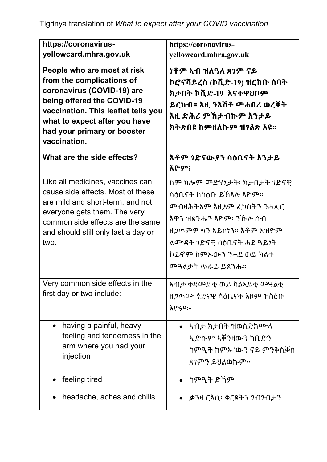| https://coronavirus-<br>yellowcard.mhra.gov.uk                                                                                                                                                                                              | https://coronavirus-<br>yellowcard.mhra.gov.uk                                                                                                            |
|---------------------------------------------------------------------------------------------------------------------------------------------------------------------------------------------------------------------------------------------|-----------------------------------------------------------------------------------------------------------------------------------------------------------|
| People who are most at risk<br>from the complications of<br>coronavirus (COVID-19) are<br>being offered the COVID-19<br>vaccination. This leaflet tells you<br>what to expect after you have<br>had your primary or booster<br>vaccination. | <u>ነቶም አብ ዝለዓለ ጸገም ናይ</u><br>ኮሮናቫይረስ (ኮቪድ-19) ዝርከቡ ሰባት<br>ክታበት ኮቪድ-19 እናተዋህቦም<br>ይርከብ፡፡ እዚ ንእሽቶ መሐበሪ ወረቐት<br>እዚ ድሕሪ ምኽታብኩም እንታይ<br>ክትጽበዩ ከምዘለኩም ዝንልጽ እዩ፡፡ |
| What are the side effects?                                                                                                                                                                                                                  | እዮም፧                                                                                                                                                      |
| Like all medicines, vaccines can<br>cause side effects. Most of these<br>are mild and short-term, and not<br>everyone gets them. The very<br>common side effects are the same<br>and should still only last a day or<br>two.                | ሳዕቤናት ከስዕቡ ይኽእሉ እዮም።<br>እዋን ዝጸንሑን እዮም፡ ንኹሉ ሰብ<br>ልሙዳት  ንድናዊ ሳዕቤናት ሓደ ዓይነት<br>ኮይኖም ከምኡውን ንሓደ ወይ ክልተ<br><u> <sup>መዓልታት ጥራይ ይጸንሑ።</sup></u>                  |
| Very common side effects in the<br>first day or two include:                                                                                                                                                                                | አብታ ቀዳመይቲ ወይ ካልኣይቲ መዓልቲ<br>ዘ <i>ጋ</i> ጥ <i>ጎ</i> ድናዊ ሳዕቤናት እዞም ዝስዕቡ<br>እዮም፦                                                                               |
| having a painful, heavy<br>feeling and tenderness in the<br>arm where you had your<br>injection                                                                                                                                             | <u>አብታ ክታበት ዝወሰድክሙላ</u><br>ኢድኩም ኣቐንዛውን ከቢድን<br>ስምዒት ከምኡ'ውን ናይ ምንቅስቓስ<br>ጸንምን ይህልወኩም።                                                                      |
| feeling tired                                                                                                                                                                                                                               | • ስምዒት ድኻም                                                                                                                                                |
| headache, aches and chills                                                                                                                                                                                                                  | •    ቃንዛ ርእሲ፡ ቅርጸትን ንብንብታን                                                                                                                                |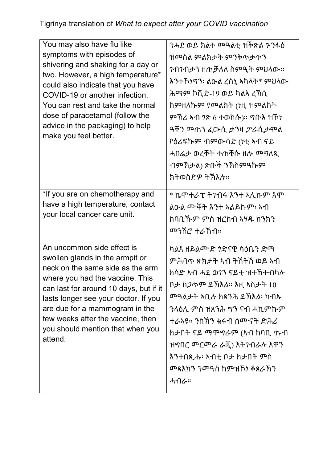| You may also have flu like<br>symptoms with episodes of<br>shivering and shaking for a day or<br>two. However, a high temperature*<br>could also indicate that you have<br>COVID-19 or another infection.<br>You can rest and take the normal<br>dose of paracetamol (follow the<br>advice in the packaging) to help<br>make you feel better. | ንሓደ ወይ ክልተ <sup></sup> ዓልቲ  ዝቅጽል ጉንፋዕ<br>ዝሞስል ምልክታት ምንቅጥቃጥን<br><i>ገ</i> ብንብታን ዘጠቓለለ ስምዒት ምህላው።<br>እንተኾነግን፡ ልዑል ረስኒ አካላት* ምህላው<br>ሕማም ኮቪድ-19 ወይ ካልእ ረኽሲ<br>ከምዘለኩም የመልክት (ነዚ ዝምልከት<br>ዓቐን <sup></sup> ጠን ፈውሲ ቃንዛ <i>ፓራ</i> ሲታሞል<br>የዕሪፍኩም ብምውሳድ (ነቲ ኣብ ናይ<br>ሓበሬታ ወረቐት ተጠቒሱ ዘሎ ሞግለጺ<br>ብምኽታል) ጽቡች ንኽስምዓኩም<br>ክትወስድዎ ትኽእሉ። |
|-----------------------------------------------------------------------------------------------------------------------------------------------------------------------------------------------------------------------------------------------------------------------------------------------------------------------------------------------|-------------------------------------------------------------------------------------------------------------------------------------------------------------------------------------------------------------------------------------------------------------------------------------------------------------------------|
| *If you are on chemotherapy and<br>have a high temperature, contact<br>your local cancer care unit.                                                                                                                                                                                                                                           | * ኬሞተራፒ ትንብሩ እንተ ኣሊኩም እሞ<br>ልዑል ሙቐት እንተ ኣልይኩም፡ ኣብ<br>ከባቢኹም ምስ ዝርከብ ኣሃዱ ክንክን<br><u> <sup></sup> ማሽሮ ተራኸብ።</u>                                                                                                                                                                                                            |
| An uncommon side effect is<br>swollen glands in the armpit or<br>neck on the same side as the arm<br>where you had the vaccine. This<br>can last for around 10 days, but if it<br>lasts longer see your doctor. If you<br>are due for a mammogram in the<br>few weeks after the vaccine, then<br>you should mention that when you<br>attend.  | ምሕባጥ ጽክታት ኣብ ትሽትሽ ወይ ኣብ<br>ክሳድ ኣብ ሓደ ወ7ን ናይቲ ዝተኸተብካሉ<br>ቦታ ከ <i>ጋ</i> ጥም ይኽእል። እዚ ኣስታት 10<br><u> <sup>መ</sup>ዓልታት አቢሉ ክጸንሕ ይኽእል፡ ከብኡ</u><br>ንላዕሊ ምስ ዝጸንሕ ግን ናብ ሓኪምኩም<br>ተራኣዩ። ንስኽን ቁሩብ ሰሙናት ድሕሪ<br>ክታበት ናይ ማሞግራም (ኣብ ከባቢ ጡብ<br>ዝግበር መርመራ ራጇ) እትንብራሉ እዋን<br>እንተበጺሑ፡ ኣብቲ ቦታ ክታበት ምስ<br>ሓብራ።                               |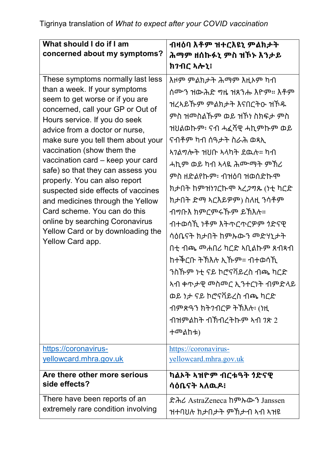| What should I do if I am                                               | ብዛዕባ እቶም ዝተርእዩኒ ምልክታት                         |
|------------------------------------------------------------------------|-----------------------------------------------|
| concerned about my symptoms?                                           |                                               |
|                                                                        | ሕማም ዘሰኩፉኒ ምስ ዝኾኑ እንታይ                         |
|                                                                        | ክንብር ኣሎኒ፥                                     |
| These symptoms normally last less                                      | እዞም ምልክታት ሕማም እዚኦም ካብ                         |
| than a week. If your symptoms                                          | ሰሙን ዝውሕድ ግዜ ዝጸንሑ እዮም። እቶም                     |
| seem to get worse or if you are<br>concerned, call your GP or Out of   | ዝረኣይኹም ምልክታት እናበርትዑ ዝኾዱ                       |
| Hours service. If you do seek                                          | ምስ ዝሞስልኹም ወይ ዝኾነ ስክፍታ ምስ                      |
| advice from a doctor or nurse,                                         | ዝህልወኩም፡ ናብ ሓፈሻዊ ሓኪምኩም ወይ                      |
| make sure you tell them about your                                     | ናብቶም ካብ ሰዓታት ስራሕ ወጻኢ                          |
| vaccination (show them the                                             | <u>አንልግሎት ዝህቡ አላካት ደዉሉ። ከብ</u>                |
| vaccination card - keep your card<br>safe) so that they can assess you | ሓኪም ወይ ካብ ኣላዪ ሕሙማት ምኽሪ                        |
| properly. You can also report                                          | ምስ ዘድልየኩም፡ ብዝዕባ ዝወሰድኩሞ                        |
| suspected side effects of vaccines                                     | ክታበት ከምዝነ <i>ገ</i> ርኩሞ ኣረ <i>ጋግ</i> ጹ (ነቲ ካርድ |
| and medicines through the Yellow                                       | ክታበት ድማ ኣርእይዎም) ስለዚ ንሳቶም                      |
| Card scheme. You can do this                                           | ብግቡእ ክምርምሩኹም ይኽእሉ።                            |
| online by searching Coronavirus<br>Yellow Card or by downloading the   | ብተወሳኺ ነቶም እትጥርጥርዎም ጎድናዊ                       |
| Yellow Card app.                                                       | ሳዕቤናት ክታበት ከምኡውን መድሃኒታት                       |
|                                                                        |                                               |
|                                                                        | ከተቅርቡ ትኽእሉ ኢኹም። ብተወሳኺ                         |
|                                                                        | ንስኹም ነቲ ናይ ኮሮናቫይረስ ብጫ ካርድ                     |
|                                                                        | ኣብ ቀጥታዊ መስመር ኢንተርነት ብምድላይ                     |
|                                                                        | ወይ ነታ ናይ ኮሮናቫይረስ ብጫ ካርድ                       |
|                                                                        | ብምጽዓን ክትንብርዎ ትኽእሉ፡ (ነዚ                        |
|                                                                        | ብዝምልከት ብኽብረትኩም ኣብ <i>ገ</i> ጽ 2                |
|                                                                        | ተመልከቱ)                                        |
| https://coronavirus-                                                   | https://coronavirus-                          |
| yellowcard.mhra.gov.uk                                                 | yellowcard.mhra.gov.uk                        |
| Are there other more serious                                           | ካልኦት ኣዝዮም ብርቱዓት  ንድናዊ                         |
| side effects?                                                          | ሳዕቤናት ኣለዉዶ፡                                   |
| There have been reports of an                                          | ድሕረ AstraZeneca ከምኡውን Janssen                 |
| extremely rare condition involving                                     | ዝተባህሉ ክታበታት ምኽታብ ኣብ ኣዝዩ                       |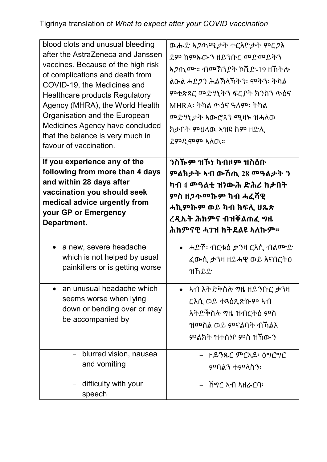| blood clots and unusual bleeding<br>after the AstraZeneca and Janssen<br>vaccines. Because of the high risk<br>of complications and death from<br>COVID-19, the Medicines and<br><b>Healthcare products Regulatory</b><br>Agency (MHRA), the World Health<br>Organisation and the European<br>Medicines Agency have concluded<br>that the balance is very much in<br>favour of vaccination. | ዉሑድ ኣ <i>ጋ</i> ጣሚ <i>ታ</i> ት ተርእዮታት ምር <i>ጋ</i> እ<br>ደም ከምኡውን ዘይንቡር መድመይትን<br><i>ኣጋ</i> ጢሙ። ብመኽንያት ኮቪድ-19 ዘኸትሎ<br><u>ልዑል ሓደ<i>ጋ</i>ን ሕልኽላ</u> ኸትን፡ ሞትን፡ ትካል<br>ምቁጽጻር መድሃኒትን ፍርያት ክንክን ጥዕና<br>MHR A፡ ትካል ጥዕና ዓለም፡ ትካል<br><u> <sup>መ</sup>ድሃኒታት አውሮጳን ሚዛኑ ዝሓለወ</u><br>ክታበት ምህላዉ ኣዝዩ ከም ዘድሊ<br>ደምዲሞም ኣለዉ። |
|---------------------------------------------------------------------------------------------------------------------------------------------------------------------------------------------------------------------------------------------------------------------------------------------------------------------------------------------------------------------------------------------|--------------------------------------------------------------------------------------------------------------------------------------------------------------------------------------------------------------------------------------------------------------------------------------------------------|
| If you experience any of the                                                                                                                                                                                                                                                                                                                                                                | ንስኹም ዝኾነ ካብዞም ዝስዕቡ                                                                                                                                                                                                                                                                                     |
| following from more than 4 days                                                                                                                                                                                                                                                                                                                                                             | ምልክታት ኣብ ውሽጢ 28 መዓልታት ን                                                                                                                                                                                                                                                                                |
| and within 28 days after                                                                                                                                                                                                                                                                                                                                                                    | ካብ 4  ጫልቲ ዝነውሕ ድሕሪ ክታበት                                                                                                                                                                                                                                                                                |
| vaccination you should seek                                                                                                                                                                                                                                                                                                                                                                 | ምስ ዘ <i>ጋ</i> ጥሞኩም ካብ ሓፈሻዊ                                                                                                                                                                                                                                                                             |
| medical advice urgently from                                                                                                                                                                                                                                                                                                                                                                | ሓኪምኩም ወይ ካብ ክፍሊ ህጹጽ                                                                                                                                                                                                                                                                                    |
| your GP or Emergency                                                                                                                                                                                                                                                                                                                                                                        | ረዲኤት ሕክምና ብዝቐልጠፈ ግዜ                                                                                                                                                                                                                                                                                    |
| Department.                                                                                                                                                                                                                                                                                                                                                                                 | ሕክምናዊ ሓንዝ ክትደልዩ ኣለኩም፡፡                                                                                                                                                                                                                                                                                 |
| a new, severe headache                                                                                                                                                                                                                                                                                                                                                                      | •   ሓድሽ፡ ብርቱዕ ቃንዛ ርእሲ ብልሙድ                                                                                                                                                                                                                                                                             |
| which is not helped by usual                                                                                                                                                                                                                                                                                                                                                                | ፈውሲ ቃንዛ ዘይሓዊ ወይ እናበርት0                                                                                                                                                                                                                                                                                 |
| painkillers or is getting worse                                                                                                                                                                                                                                                                                                                                                             | ዝኸይድ                                                                                                                                                                                                                                                                                                   |
| an unusual headache which<br>seems worse when lying<br>down or bending over or may<br>be accompanied by                                                                                                                                                                                                                                                                                     | ርእሲ ወይ ተዳዕጺጽኩም አብ<br>ዝሞስል ወይ ምናልባት ብኸልእ<br>ምልክት ዝተሰነየ ምስ ዝኸውን                                                                                                                                                                                                                                          |
| blurred vision, nausea                                                                                                                                                                                                                                                                                                                                                                      | –   ዘይንጹር ምርኣይ፡ ዕግርግር                                                                                                                                                                                                                                                                                  |
| and vomiting                                                                                                                                                                                                                                                                                                                                                                                | ምባልን ተምላስን፡                                                                                                                                                                                                                                                                                            |
| difficulty with your<br>speech                                                                                                                                                                                                                                                                                                                                                              | –   ሽግር አብ አዘራርባ፡                                                                                                                                                                                                                                                                                      |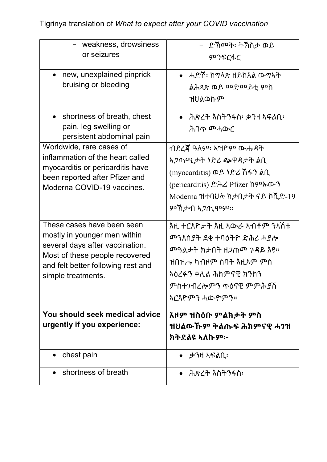| - weakness, drowsiness<br>or seizures                                                                                                                                                       | – ድኽመት፡ ትኽስታ ወይ<br>ምንፍርፋር                                                                                                                                                                                    |
|---------------------------------------------------------------------------------------------------------------------------------------------------------------------------------------------|--------------------------------------------------------------------------------------------------------------------------------------------------------------------------------------------------------------|
| new, unexplained pinprick<br>bruising or bleeding                                                                                                                                           | •   ሓድሽ፡ ክግለጽ ዘይክእል ውግኣት<br>ልሕጻጽ ወይ መድመይቲ ምስ<br>ዝህልወኩም                                                                                                                                                       |
| • shortness of breath, chest<br>pain, leg swelling or<br>persistent abdominal pain                                                                                                          | •    ሕጽረት እስትንፋስ፡ ቃንዛ ኣፍልቢ፡                                                                                                                                                                                  |
| Worldwide, rare cases of<br>inflammation of the heart called<br>myocarditis or pericarditis have<br>been reported after Pfizer and<br>Moderna COVID-19 vaccines.                            | ብደረጃ ዓለም፡ ኣዝዮም ውሑዳት<br><i>ኣጋ</i> ጣሚ <i>ታት ነድሪ</i> ጭዋዳታት ልቢ<br>(myocarditis) ወይ ነድሪ ሽፋን ልቢ<br>(pericarditis) ድሕሪ Pfizer ከምኡውን<br>Moderna ዝተባህሉ ክታበታት ናይ ኮቪድ-19<br>ምኽታብ ኣ <i>ጋ</i> ጢሞም።                        |
| These cases have been seen<br>mostly in younger men within<br>several days after vaccination.<br>Most of these people recovered<br>and felt better following rest and<br>simple treatments. | እዚ ተርእዮታት እዚ ኣውራ ኣብቶም ንኣሽቱ<br><u> <sup>መ</sup>ንእሰያት ደቂ ተባዕትዮ ድሕሪ ሓያሎ</u><br><u> መዓልታት ክታበት ዘ<i>ጋ</i>ጠመ ንዳይ እዩ።</u><br>ዝበዝሑ ካብዞም ሰባት እዚኦም ምስ<br>ኣዕረፉን ቀሊል ሕክምናዊ ክንክን<br>ምስተንብረሎምን ጥዕናዊ ምምሕያሽ<br>አርእዮምን ሓውዮምን። |
| You should seek medical advice<br>urgently if you experience:                                                                                                                               | እዞም ዝስዕቡ ምልክታት ምስ<br>ዝሀልውኹም ቅልጡፍ ሕክምናዊ ሓንዝ<br>ክትደልዩ ኣለኩም፦                                                                                                                                                    |
| chest pain                                                                                                                                                                                  | ቃንዛ ኣፍልቢ፡                                                                                                                                                                                                    |
| shortness of breath                                                                                                                                                                         | ሕጽረት እስትንፋስ፡                                                                                                                                                                                                 |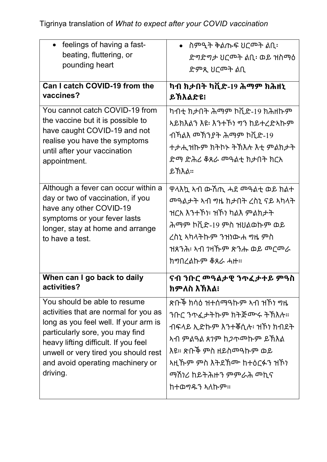| feelings of having a fast-                                                                                                                                                                 | ስምዒት ቅልጡፍ ሀርሞት ልቢ፡                                                                                                            |
|--------------------------------------------------------------------------------------------------------------------------------------------------------------------------------------------|-------------------------------------------------------------------------------------------------------------------------------|
| beating, fluttering, or                                                                                                                                                                    | ድግድግታ ህርሞት ልቢ፡ ወይ ዝስማዕ                                                                                                        |
| pounding heart                                                                                                                                                                             | ድምጺ ሀርሞት ልቢ                                                                                                                   |
| Can I catch COVID-19 from the                                                                                                                                                              | ካብ ክታበት ካቪድ-19 ሕማም ክሕዘኒ                                                                                                       |
| vaccines?                                                                                                                                                                                  | ይኽእልድዩ፧                                                                                                                       |
| You cannot catch COVID-19 from                                                                                                                                                             | ካብቲ ክታበት ሕማም ኮቪድ-19 ክሕዘኩም                                                                                                     |
| the vaccine but it is possible to                                                                                                                                                          | ኣይክእልን እዩ፡ እንተኾነ ግን ከይተረድኣኩም                                                                                                  |
| have caught COVID-19 and not                                                                                                                                                               | ብኻልእ መኽንያት ሕማም ኮቪድ-19                                                                                                         |
| realise you have the symptoms                                                                                                                                                              | ተታሒዝኩም ክትኮኑ ትኽእሉ እቲ ምልክታት                                                                                                     |
| until after your vaccination                                                                                                                                                               |                                                                                                                               |
| appointment.                                                                                                                                                                               | <u>ይኽእል።</u>                                                                                                                  |
| Although a fever can occur within a<br>day or two of vaccination, if you<br>have any other COVID-19<br>symptoms or your fever lasts<br>longer, stay at home and arrange<br>to have a test. | ዋላእኳ ኣብ ውሽጢ ሓደ ሞዓልቲ ወይ ክልተ<br>ዝርአ እንተኾነ፡ ዝኾነ ካልእ ምልክታት<br>ሕማም ኮቪድ-19 ምስ ዝሀልወኩም ወይ<br>ረስኒ ኣካላትኩም ንዝነውሐ   ምስ<br>ክግበረልኩም ቆጸራ ሓዙ። |
| When can I go back to daily                                                                                                                                                                | ናብ ንቡር መዓልታዊ ንጥፈታተይ ምዓስ                                                                                                       |
| activities?                                                                                                                                                                                | ክምለስ እኽእል፧                                                                                                                    |
| You should be able to resume                                                                                                                                                               |                                                                                                                               |
| activities that are normal for you as                                                                                                                                                      | ንቡር ንጥፈታትኩም ክትጅሙሩ ትኽእሉ።                                                                                                       |
| long as you feel well. If your arm is                                                                                                                                                      | ብፍላይ ኢድኩም እንተቐሲሉ፡ ዝኾነ ክብደት                                                                                                    |
| particularly sore, you may find                                                                                                                                                            | <u>አብ ምልዓል ጸንም ከ<i>ጋ</i>ጥሞኩም ይ</u> ኽእል                                                                                        |
| heavy lifting difficult. If you feel                                                                                                                                                       | እዩ። ጽቡች ምስ ዘይስመዓኩም ወይ                                                                                                         |
| unwell or very tired you should rest                                                                                                                                                       | ኣዚኹም ምስ እትደኽሙ ከተዕርፉን ዝኾነ                                                                                                      |
| and avoid operating machinery or                                                                                                                                                           | <u>ማሽነሪ ከይትሕዙን ምምራሕ መኪና</u>                                                                                                   |
| driving.                                                                                                                                                                                   | ከተወግዱን ኣለኩም።                                                                                                                  |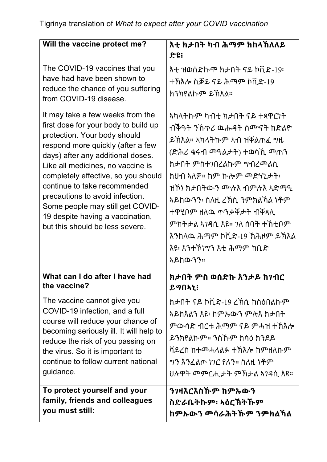| Will the vaccine protect me?                                                                                                                                                                                                                                                                                                                                                                                                                 | እቲ ክታበት ካብ ሕማም ክከላኸለለይ                                                                                                                                                                                                                                                                                                                            |
|----------------------------------------------------------------------------------------------------------------------------------------------------------------------------------------------------------------------------------------------------------------------------------------------------------------------------------------------------------------------------------------------------------------------------------------------|---------------------------------------------------------------------------------------------------------------------------------------------------------------------------------------------------------------------------------------------------------------------------------------------------------------------------------------------------|
|                                                                                                                                                                                                                                                                                                                                                                                                                                              | ድዩ፧                                                                                                                                                                                                                                                                                                                                               |
| The COVID-19 vaccines that you<br>have had have been shown to<br>reduce the chance of you suffering<br>from COVID-19 disease.                                                                                                                                                                                                                                                                                                                | እቲ ዝወሰድኩሞ ክታበት ናይ ኮቪድ-19፡<br>ተኽእሎ ስቓይ ናይ ሕማም ኮቪድ-19<br>ክንክየልኩም ይኽእል።                                                                                                                                                                                                                                                                              |
| It may take a few weeks from the<br>first dose for your body to build up<br>protection. Your body should<br>respond more quickly (after a few<br>days) after any additional doses.<br>Like all medicines, no vaccine is<br>completely effective, so you should<br>continue to take recommended<br>precautions to avoid infection.<br>Some people may still get COVID-<br>19 despite having a vaccination,<br>but this should be less severe. | <u>አካላትኩም ካብቲ ክታበት ናይ ተጻዋርነት</u><br>ብቅዓት ንኸጥሪ ዉሑዳት ሰሙናት ከድልዮ<br>ይኽእል። ኣካላትኩም ኣብ ዝቐልጠፈ ግዜ<br>ክታበት ምስተንበረልኩም  ግብረሞልሲ<br>ክሀብ ኣለዎ። ከም ኩሎም መድሃኒታት፡<br>ዝኾነ ክታበትውን ሙሉእ ብምሉእ ኣድማዒ<br><u>አይከውንን፡ ስለዚ ረኽሲ ንምክልኻል ነቶም</u><br>ተዋሂቦም ዘለዉ ጥንቃቐታት ብቐጻሊ<br>ምክትታል አንዳሲ እዩ። ንለ ሰባት ተኸቲቦም<br>እንከለዉ ሕማም ኮቪድ-19 ኽሕዞም ይኽእል<br>እዩ፡ እንተኾነግን እቲ ሕማም ከቢድ<br><u> አይከውንን።</u> |
| What can I do after I have had<br>the vaccine?                                                                                                                                                                                                                                                                                                                                                                                               | ክታበት ምስ ወሰድኩ እንታይ ክንብር<br>ይማበኣኒ፧                                                                                                                                                                                                                                                                                                                  |
| The vaccine cannot give you<br>COVID-19 infection, and a full<br>course will reduce your chance of<br>becoming seriously ill. It will help to<br>reduce the risk of you passing on<br>the virus. So it is important to<br>continue to follow current national<br>guidance.                                                                                                                                                                   | ክታበት ናይ ኮቪድ-19 ረኽሲ ከስዕበልኩም<br>ኣይክእልን እዩ፡ ከምኡውን ምሉእ ክታበት<br>ምውሳድ ብርቱ ሕማም ናይ ምሓዝ ተኽእሎ<br>ይንክየልኩም። ንስኹም ክሳዕ ክንደይ<br>ቫይረስ ከተመሓላልፉ ተኽእሎ ከምዘለኩም<br><i>ግጉ እጉ</i> ፈልጦ <i>ነገር</i> የለን። ስለዚ ነቶም                                                                                                                                                             |
| To protect yourself and your<br>family, friends and colleagues<br>you must still:                                                                                                                                                                                                                                                                                                                                                            | ን <b>ንዛእርእስ</b> ኹም ከምኡውን<br>ስድራቤትኩም፡ ኣዕርኽትኹም<br>ከምኡውን መሳራሕትኹም ንምክልኻል                                                                                                                                                                                                                                                                              |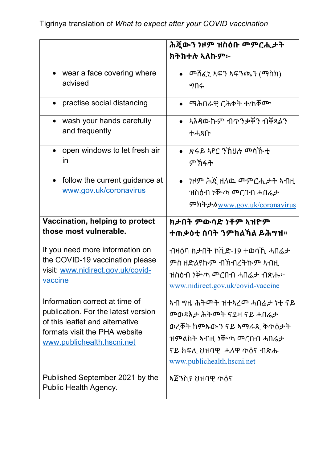|                                                                                                                                                                         | ሕጀውን ነዞም ዝስዕቡ መምርሒታት<br>ክትክተሉ ኣለኩም፦                                                                                                                                 |
|-------------------------------------------------------------------------------------------------------------------------------------------------------------------------|---------------------------------------------------------------------------------------------------------------------------------------------------------------------|
| • wear a face covering where                                                                                                                                            |                                                                                                                                                                     |
| advised                                                                                                                                                                 | ግበሩ                                                                                                                                                                 |
| practise social distancing                                                                                                                                              | <u>ማሕበራዊ ርሕቀት ተጠቐሙ</u>                                                                                                                                              |
| wash your hands carefully                                                                                                                                               | • አእዳውኩም ብጥንቃቐን ብቐጻልን                                                                                                                                               |
| and frequently                                                                                                                                                          | ተሓጸቡ                                                                                                                                                                |
| open windows to let fresh air                                                                                                                                           | • ጽሩይ ኣየር ንኽህሉ መሳኹቲ                                                                                                                                                 |
| in                                                                                                                                                                      | ምኽፋት                                                                                                                                                                |
| follow the current guidance at<br>$\bullet$<br>www.gov.uk/coronavirus                                                                                                   | $\bullet$<br>ምክትታልwww.gov.uk/coronavirus                                                                                                                            |
| Vaccination, helping to protect                                                                                                                                         | ክታበት ምውሳድ ነቶም ኣዝዮም                                                                                                                                                  |
| those most vulnerable.                                                                                                                                                  | ተጠቃዕቲ ሰባት ንምክልኻል ይሕማዝ፡፡                                                                                                                                             |
| If you need more information on                                                                                                                                         | ብዛዕባ ክታበት ኮቪድ-19 ተወሳኺ ሓበሬታ                                                                                                                                          |
| the COVID-19 vaccination please                                                                                                                                         | ምስ ዘድልየኩም ብኽብረትኩም ኣብዚ                                                                                                                                               |
| visit: www.nidirect.gov.uk/covid-                                                                                                                                       | ዝስዕብ ነቝጣ <sup>መ</sup> ርበብ ሓበሬታ ብጽሑ፦                                                                                                                                 |
| vaccine                                                                                                                                                                 | www.nidirect.gov.uk/covid-vaccine                                                                                                                                   |
| Information correct at time of<br>publication. For the latest version<br>of this leaflet and alternative<br>formats visit the PHA website<br>www.publichealth.hscni.net | <u> <sup>መ</sup>ወዳእታ ሕትመት ናይዛ ናይ ሓበሬታ</u><br>ወረቐት ከምኡውን ናይ ኣማራጺ ቅጥዕ <i>ታ</i> ት<br>ዝምልከት ኣብዚ ነቝጣ ሞርበብ ሓበሬታ<br>ናይ ክፍሊ ሀዝባዊ  ሓለዋ ጥዕና ብጽሑ<br>www.publichealth.hscni.net |
| Published September 2021 by the<br>Public Health Agency.                                                                                                                | አጀንስያ ህዝባዊ ጥዕና                                                                                                                                                      |